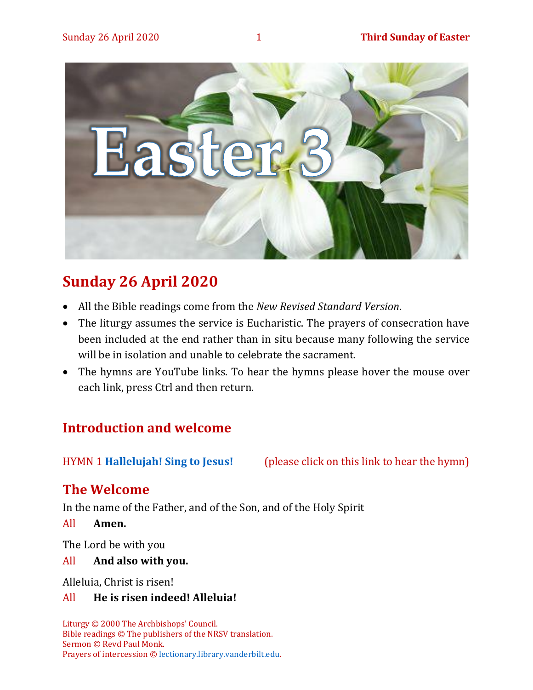

# **Sunday 26 April 2020**

- All the Bible readings come from the *New Revised Standard Version*.
- The liturgy assumes the service is Eucharistic. The prayers of consecration have been included at the end rather than in situ because many following the service will be in isolation and unable to celebrate the sacrament.
- The hymns are YouTube links. To hear the hymns please hover the mouse over each link, press Ctrl and then return.

# **Introduction and welcome**

HYMN 1 **[Hallelujah! Sing to Jesus!](https://www.youtube.com/watch?v=l8leWEhlimc)** (please click on this link to hear the hymn)

# **The Welcome**

In the name of the Father, and of the Son, and of the Holy Spirit

All **Amen.**

The Lord be with you

All **And also with you.**

Alleluia, Christ is risen!

#### All **He is risen indeed! Alleluia!**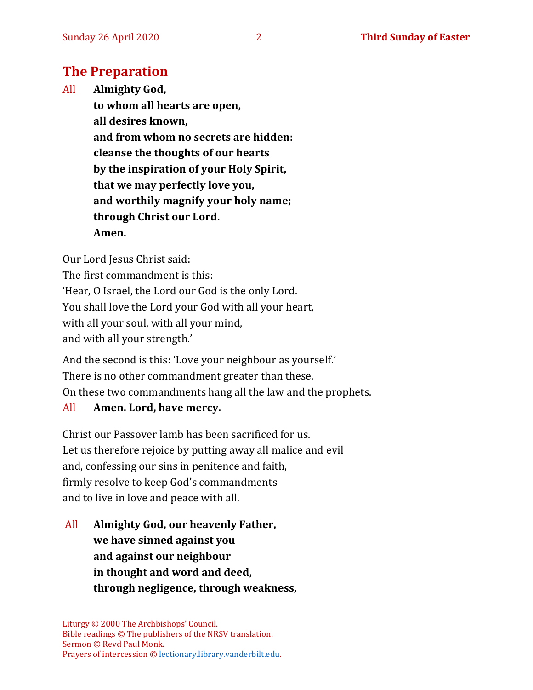# **The Preparation**

All **Almighty God, to whom all hearts are open, all desires known, and from whom no secrets are hidden: cleanse the thoughts of our hearts by the inspiration of your Holy Spirit, that we may perfectly love you, and worthily magnify your holy name; through Christ our Lord. Amen.**

Our Lord Jesus Christ said:

The first commandment is this: 'Hear, O Israel, the Lord our God is the only Lord. You shall love the Lord your God with all your heart, with all your soul, with all your mind, and with all your strength.'

And the second is this: 'Love your neighbour as yourself.' There is no other commandment greater than these. On these two commandments hang all the law and the prophets.

#### All **Amen. Lord, have mercy.**

Christ our Passover lamb has been sacrificed for us. Let us therefore rejoice by putting away all malice and evil and, confessing our sins in penitence and faith, firmly resolve to keep God's commandments and to live in love and peace with all.

All **Almighty God, our heavenly Father, we have sinned against you and against our neighbour in thought and word and deed, through negligence, through weakness,**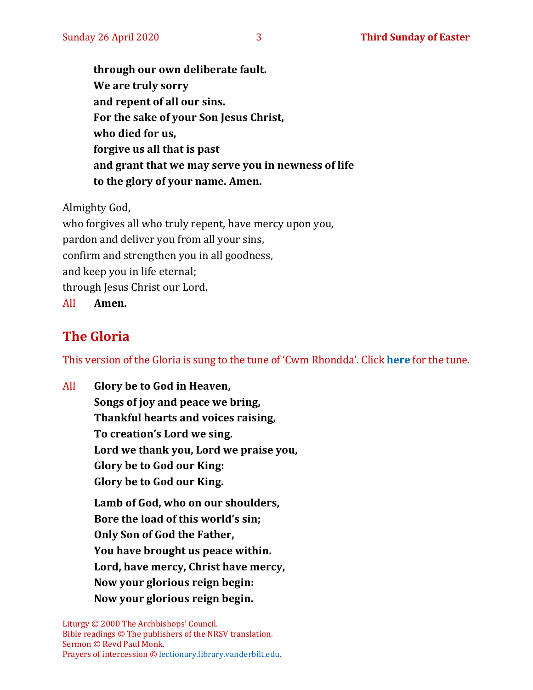**through our own deliberate fault. We are truly sorry and repent of all our sins. For the sake of your Son Jesus Christ, who died for us, forgive us all that is past and grant that we may serve you in newness of life to the glory of your name. Amen.**

Almighty God,

who forgives all who truly repent, have mercy upon you, pardon and deliver you from all your sins, confirm and strengthen you in all goodness, and keep you in life eternal; through Jesus Christ our Lord. All **Amen.**

# **The Gloria**

This version of the Gloria is sung to the tune of 'Cwm Rhondda'. Click **[here](https://www.youtube.com/watch?v=BtGhnEwY74E)** for the tune.

All **Glory be to God in Heaven, Songs of joy and peace we bring, Thankful hearts and voices raising, To creation's Lord we sing. Lord we thank you, Lord we praise you, Glory be to God our King: Glory be to God our King. Lamb of God, who on our shoulders, Bore the load of this world's sin; Only Son of God the Father, You have brought us peace within. Lord, have mercy, Christ have mercy, Now your glorious reign begin: Now your glorious reign begin.**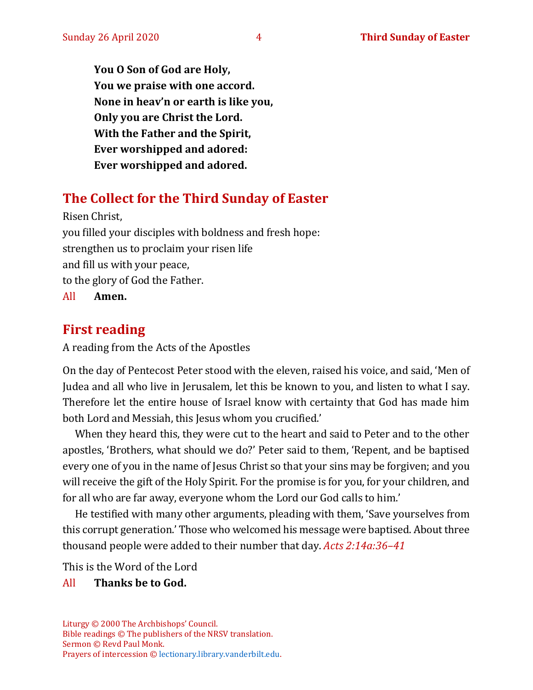**You O Son of God are Holy, You we praise with one accord. None in heav'n or earth is like you, Only you are Christ the Lord. With the Father and the Spirit, Ever worshipped and adored: Ever worshipped and adored.**

# **The Collect for the Third Sunday of Easter**

Risen Christ, you filled your disciples with boldness and fresh hope: strengthen us to proclaim your risen life and fill us with your peace, to the glory of God the Father. All **Amen.**

# **First reading**

A reading from the Acts of the Apostles

On the day of Pentecost Peter stood with the eleven, raised his voice, and said, 'Men of Judea and all who live in Jerusalem, let this be known to you, and listen to what I say. Therefore let the entire house of Israel know with certainty that God has made him both Lord and Messiah, this Jesus whom you crucified.'

When they heard this, they were cut to the heart and said to Peter and to the other apostles, 'Brothers, what should we do?' Peter said to them, 'Repent, and be baptised every one of you in the name of Jesus Christ so that your sins may be forgiven; and you will receive the gift of the Holy Spirit. For the promise is for you, for your children, and for all who are far away, everyone whom the Lord our God calls to him.'

He testified with many other arguments, pleading with them, 'Save yourselves from this corrupt generation.' Those who welcomed his message were baptised. About three thousand people were added to their number that day. *Acts 2:14a:36–41*

This is the Word of the Lord

#### All **Thanks be to God.**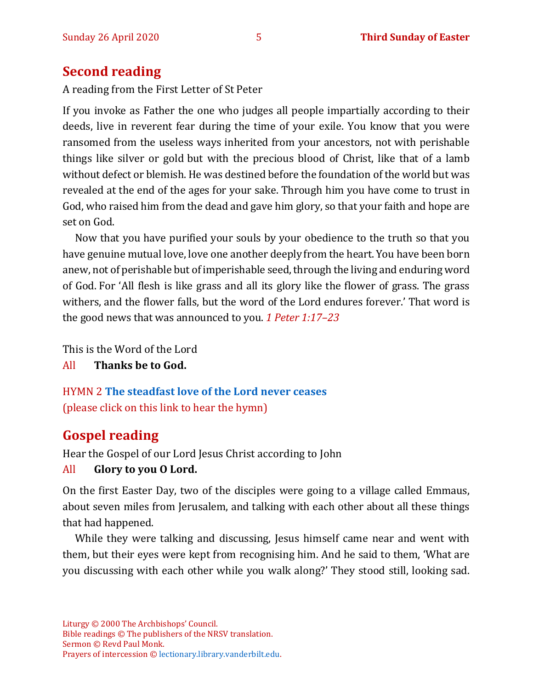### **Second reading**

A reading from the First Letter of St Peter

If you invoke as Father the one who judges all people impartially according to their deeds, live in reverent fear during the time of your exile. You know that you were ransomed from the useless ways inherited from your ancestors, not with perishable things like silver or gold but with the precious blood of Christ, like that of a lamb without defect or blemish. He was destined before the foundation of the world but was revealed at the end of the ages for your sake. Through him you have come to trust in God, who raised him from the dead and gave him glory, so that your faith and hope are set on God.

Now that you have purified your souls by your obedience to the truth so that you have genuine mutual love, love one another deeplyfrom the heart.You have been born anew, not of perishable but of imperishable seed, through the living and enduring word of God. For 'All flesh is like grass and all its glory like the flower of grass. The grass withers, and the flower falls, but the word of the Lord endures forever.' That word is the good news that was announced to you. *1 Peter 1:17–23*

This is the Word of the Lord

All **Thanks be to God.**

HYMN 2 **[The steadfast love of the Lord never ceases](https://www.youtube.com/watch?v=G3zbp6BU1S0)**  (please click on this link to hear the hymn)

# **Gospel reading**

Hear the Gospel of our Lord Jesus Christ according to John

#### All **Glory to you O Lord.**

On the first Easter Day, two of the disciples were going to a village called Emmaus, about seven miles from Jerusalem, and talking with each other about all these things that had happened.

While they were talking and discussing, Jesus himself came near and went with them, but their eyes were kept from recognising him. And he said to them, 'What are you discussing with each other while you walk along?' They stood still, looking sad.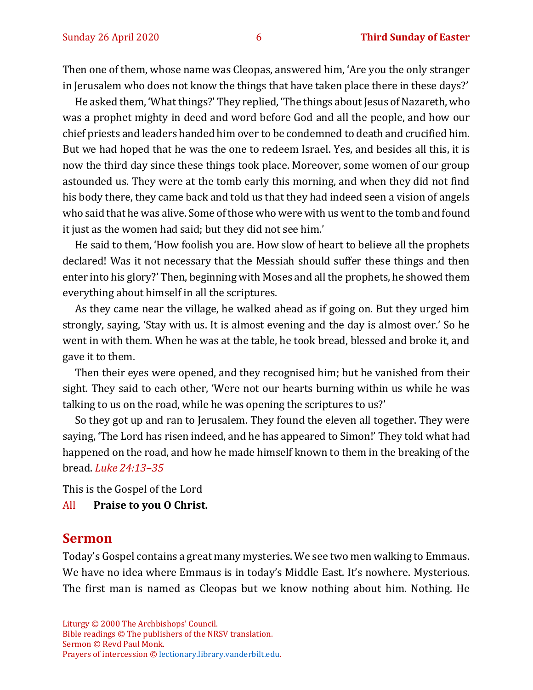Then one of them, whose name was Cleopas, answered him, 'Are you the only stranger in Jerusalem who does not know the things that have taken place there in these days?'

He asked them, 'What things?' They replied, 'The things about Jesus of Nazareth, who was a prophet mighty in deed and word before God and all the people, and how our chief priests and leaders handed him over to be condemned to death and crucified him. But we had hoped that he was the one to redeem Israel. Yes, and besides all this, it is now the third day since these things took place. Moreover, some women of our group astounded us. They were at the tomb early this morning, and when they did not find his body there, they came back and told us that they had indeed seen a vision of angels who said that he was alive. Some of those who were with us went to the tomb and found it just as the women had said; but they did not see him.'

He said to them, 'How foolish you are. How slow of heart to believe all the prophets declared! Was it not necessary that the Messiah should suffer these things and then enter into his glory?' Then, beginning with Moses and all the prophets, he showed them everything about himself in all the scriptures.

As they came near the village, he walked ahead as if going on. But they urged him strongly, saying, 'Stay with us. It is almost evening and the day is almost over.' So he went in with them. When he was at the table, he took bread, blessed and broke it, and gave it to them.

Then their eyes were opened, and they recognised him; but he vanished from their sight. They said to each other, 'Were not our hearts burning within us while he was talking to us on the road, while he was opening the scriptures to us?'

So they got up and ran to Jerusalem. They found the eleven all together. They were saying, 'The Lord has risen indeed, and he has appeared to Simon!' They told what had happened on the road, and how he made himself known to them in the breaking of the bread. *Luke 24:13–35*

This is the Gospel of the Lord All **Praise to you O Christ.** 

#### **Sermon**

Today's Gospel contains a great many mysteries. We see two men walking to Emmaus. We have no idea where Emmaus is in today's Middle East. It's nowhere. Mysterious. The first man is named as Cleopas but we know nothing about him. Nothing. He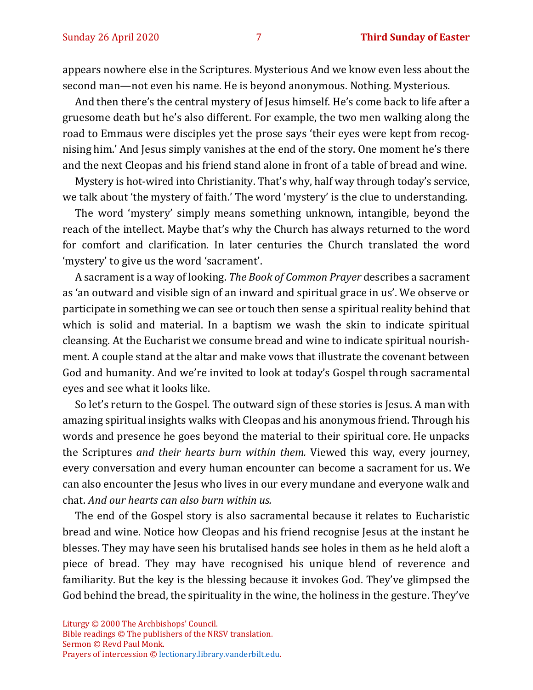appears nowhere else in the Scriptures. Mysterious And we know even less about the second man—not even his name. He is beyond anonymous. Nothing. Mysterious.

And then there's the central mystery of Jesus himself. He's come back to life after a gruesome death but he's also different. For example, the two men walking along the road to Emmaus were disciples yet the prose says 'their eyes were kept from recognising him.' And Jesus simply vanishes at the end of the story. One moment he's there and the next Cleopas and his friend stand alone in front of a table of bread and wine.

Mystery is hot-wired into Christianity. That's why, half way through today's service, we talk about 'the mystery of faith.' The word 'mystery' is the clue to understanding.

The word 'mystery' simply means something unknown, intangible, beyond the reach of the intellect. Maybe that's why the Church has always returned to the word for comfort and clarification. In later centuries the Church translated the word 'mystery' to give us the word 'sacrament'.

A sacrament is a way of looking. *The Book of Common Prayer* describes a sacrament as 'an outward and visible sign of an inward and spiritual grace in us'. We observe or participate in something we can see or touch then sense a spiritual reality behind that which is solid and material. In a baptism we wash the skin to indicate spiritual cleansing. At the Eucharist we consume bread and wine to indicate spiritual nourishment. A couple stand at the altar and make vows that illustrate the covenant between God and humanity. And we're invited to look at today's Gospel through sacramental eyes and see what it looks like.

So let's return to the Gospel. The outward sign of these stories is Jesus. A man with amazing spiritual insights walks with Cleopas and his anonymous friend. Through his words and presence he goes beyond the material to their spiritual core. He unpacks the Scriptures *and their hearts burn within them.* Viewed this way, every journey, every conversation and every human encounter can become a sacrament for us. We can also encounter the Jesus who lives in our every mundane and everyone walk and chat. *And our hearts can also burn within us.* 

The end of the Gospel story is also sacramental because it relates to Eucharistic bread and wine. Notice how Cleopas and his friend recognise Jesus at the instant he blesses. They may have seen his brutalised hands see holes in them as he held aloft a piece of bread. They may have recognised his unique blend of reverence and familiarity. But the key is the blessing because it invokes God. They've glimpsed the God behind the bread, the spirituality in the wine, the holiness in the gesture. They've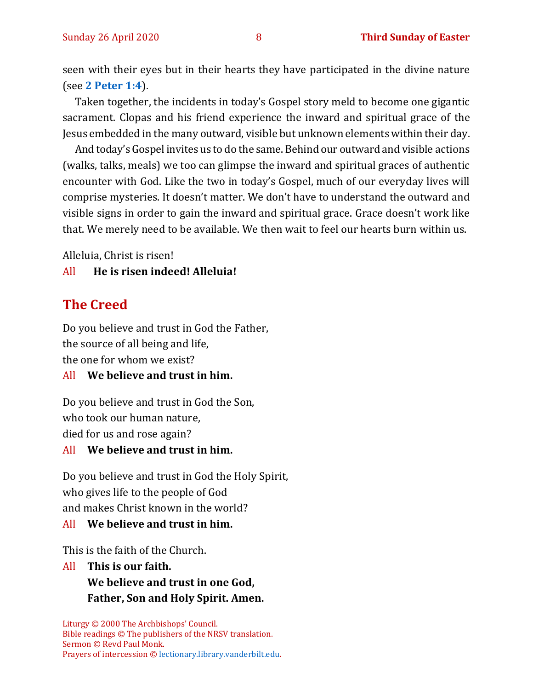seen with their eyes but in their hearts they have participated in the divine nature (see **2 [Peter 1:4](http://ww1.antiochian.org/content/theosis-partaking-divine-nature)**).

Taken together, the incidents in today's Gospel story meld to become one gigantic sacrament. Clopas and his friend experience the inward and spiritual grace of the Jesus embedded in the many outward, visible but unknown elements within their day.

And today's Gospel invites us to do the same. Behind our outward and visible actions (walks, talks, meals) we too can glimpse the inward and spiritual graces of authentic encounter with God. Like the two in today's Gospel, much of our everyday lives will comprise mysteries. It doesn't matter. We don't have to understand the outward and visible signs in order to gain the inward and spiritual grace. Grace doesn't work like that. We merely need to be available. We then wait to feel our hearts burn within us.

Alleluia, Christ is risen!

All **He is risen indeed! Alleluia!**

# **The Creed**

Do you believe and trust in God the Father, the source of all being and life, the one for whom we exist?

#### All **We believe and trust in him.**

Do you believe and trust in God the Son, who took our human nature, died for us and rose again?

#### All **We believe and trust in him.**

Do you believe and trust in God the Holy Spirit, who gives life to the people of God and makes Christ known in the world?

#### All **We believe and trust in him.**

This is the faith of the Church.

All **This is our faith. We believe and trust in one God, Father, Son and Holy Spirit. Amen.**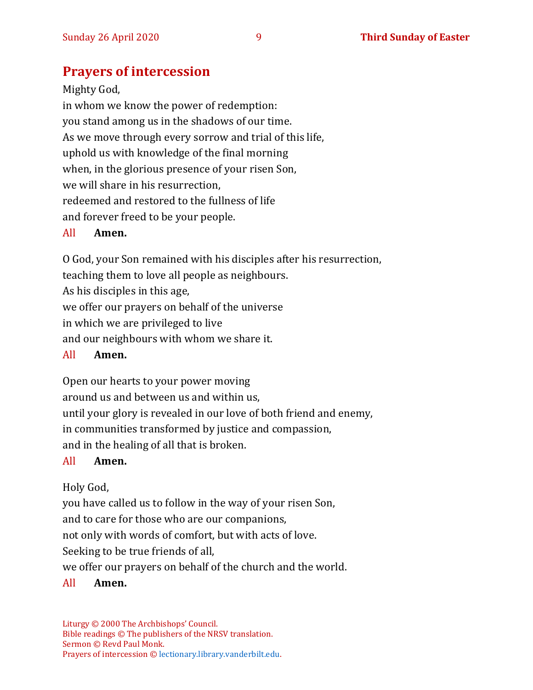# **Prayers of intercession**

Mighty God, in whom we know the power of redemption: you stand among us in the shadows of our time. As we move through every sorrow and trial of this life, uphold us with knowledge of the final morning when, in the glorious presence of your risen Son, we will share in his resurrection, redeemed and restored to the fullness of life and forever freed to be your people.

#### All **Amen.**

O God, your Son remained with his disciples after his resurrection, teaching them to love all people as neighbours. As his disciples in this age, we offer our prayers on behalf of the universe in which we are privileged to live

and our neighbours with whom we share it.

#### All **Amen.**

Open our hearts to your power moving around us and between us and within us, until your glory is revealed in our love of both friend and enemy, in communities transformed by justice and compassion, and in the healing of all that is broken.

#### All **Amen.**

#### Holy God,

you have called us to follow in the way of your risen Son,

and to care for those who are our companions,

not only with words of comfort, but with acts of love.

Seeking to be true friends of all,

we offer our prayers on behalf of the church and the world.

#### All **Amen.**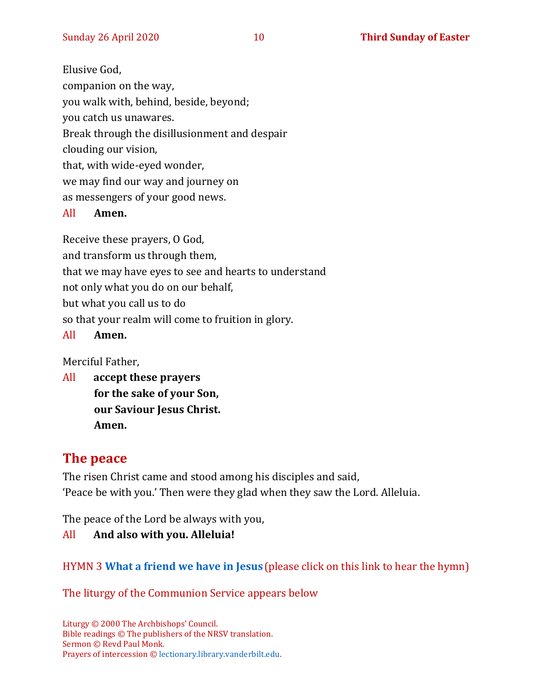Elusive God, companion on the way, you walk with, behind, beside, beyond; you catch us unawares. Break through the disillusionment and despair clouding our vision, that, with wide-eyed wonder, we may find our way and journey on as messengers of your good news.

#### All **Amen.**

Receive these prayers, O God, and transform us through them, that we may have eyes to see and hearts to understand not only what you do on our behalf, but what you call us to do

so that your realm will come to fruition in glory.

#### All **Amen.**

Merciful Father,

All **accept these prayers for the sake of your Son, our Saviour Jesus Christ. Amen.**

#### **The peace**

The risen Christ came and stood among his disciples and said, 'Peace be with you.' Then were they glad when they saw the Lord. Alleluia.

The peace of the Lord be always with you,

#### All **And also with you. Alleluia!**

#### HYMN 3 **[What a friend we have in Jesus](https://www.youtube.com/watch?v=ivFVHRLZ8F8)** (please click on this link to hear the hymn)

The liturgy of the Communion Service appears below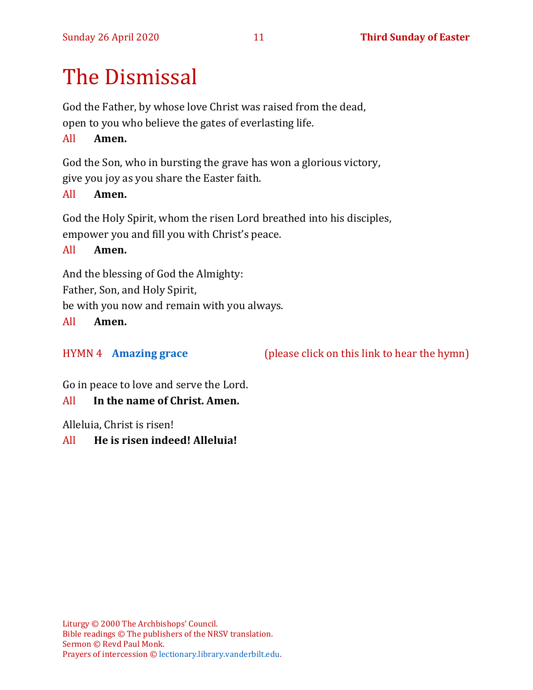# The Dismissal

God the Father, by whose love Christ was raised from the dead, open to you who believe the gates of everlasting life.

#### All **Amen.**

God the Son, who in bursting the grave has won a glorious victory,

give you joy as you share the Easter faith.

#### All **Amen.**

God the Holy Spirit, whom the risen Lord breathed into his disciples, empower you and fill you with Christ's peace.

All **Amen.**

And the blessing of God the Almighty:

Father, Son, and Holy Spirit,

be with you now and remain with you always.

All **Amen.**

HYMN 4 **[Amazing grace](https://www.youtube.com/watch?v=CDdvReNKKuk)** (please click on this link to hear the hymn)

Go in peace to love and serve the Lord.

All **In the name of Christ. Amen.**

Alleluia, Christ is risen!

All **He is risen indeed! Alleluia!**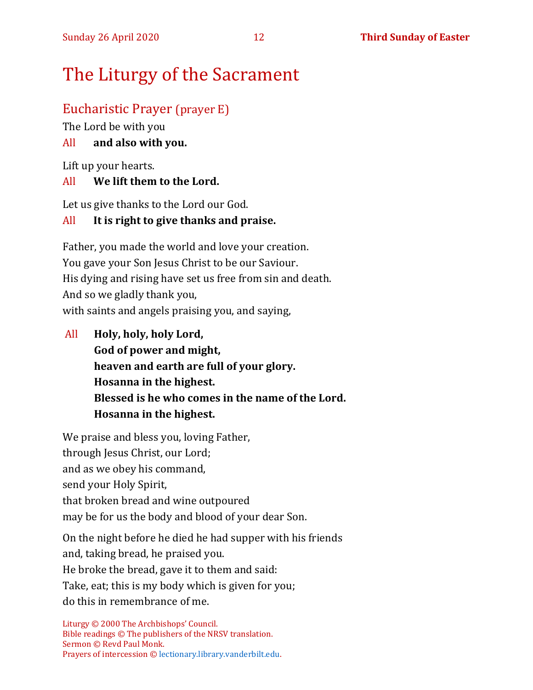# The Liturgy of the Sacrament

#### Eucharistic Prayer (prayer E)

The Lord be with you

#### All **and also with you.**

Lift up your hearts.

#### All **We lift them to the Lord.**

Let us give thanks to the Lord our God.

#### All **It is right to give thanks and praise.**

Father, you made the world and love your creation. You gave your Son Jesus Christ to be our Saviour. His dying and rising have set us free from sin and death. And so we gladly thank you, with saints and angels praising you, and saying,

All **Holy, holy, holy Lord, God of power and might, heaven and earth are full of your glory. Hosanna in the highest. Blessed is he who comes in the name of the Lord. Hosanna in the highest.**

We praise and bless you, loving Father, through Jesus Christ, our Lord; and as we obey his command, send your Holy Spirit, that broken bread and wine outpoured may be for us the body and blood of your dear Son.

On the night before he died he had supper with his friends and, taking bread, he praised you. He broke the bread, gave it to them and said: Take, eat; this is my body which is given for you; do this in remembrance of me.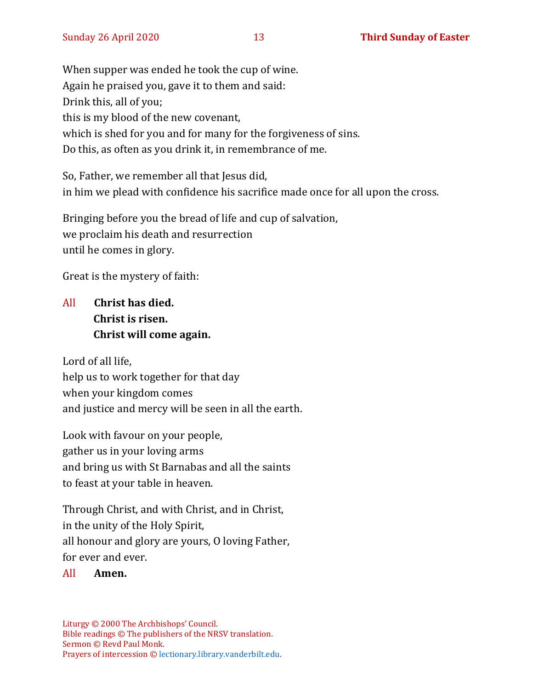When supper was ended he took the cup of wine. Again he praised you, gave it to them and said: Drink this, all of you; this is my blood of the new covenant, which is shed for you and for many for the forgiveness of sins. Do this, as often as you drink it, in remembrance of me.

So, Father, we remember all that Jesus did, in him we plead with confidence his sacrifice made once for all upon the cross.

Bringing before you the bread of life and cup of salvation, we proclaim his death and resurrection until he comes in glory.

Great is the mystery of faith:

### All **Christ has died. Christ is risen. Christ will come again.**

Lord of all life, help us to work together for that day when your kingdom comes and justice and mercy will be seen in all the earth.

Look with favour on your people, gather us in your loving arms and bring us with St Barnabas and all the saints to feast at your table in heaven.

Through Christ, and with Christ, and in Christ, in the unity of the Holy Spirit, all honour and glory are yours, O loving Father, for ever and ever.

#### All **Amen.**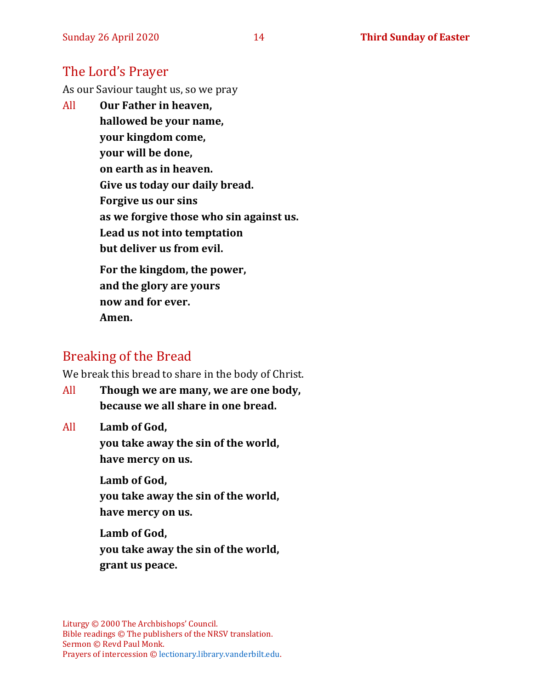#### The Lord's Prayer

As our Saviour taught us, so we pray

All **Our Father in heaven, hallowed be your name, your kingdom come, your will be done, on earth as in heaven. Give us today our daily bread. Forgive us our sins as we forgive those who sin against us. Lead us not into temptation but deliver us from evil.**

**For the kingdom, the power, and the glory are yours now and for ever. Amen.**

# Breaking of the Bread

We break this bread to share in the body of Christ.

All **Though we are many, we are one body, because we all share in one bread.**

All **Lamb of God,**

**you take away the sin of the world, have mercy on us.**

**Lamb of God, you take away the sin of the world, have mercy on us.**

**Lamb of God, you take away the sin of the world, grant us peace.**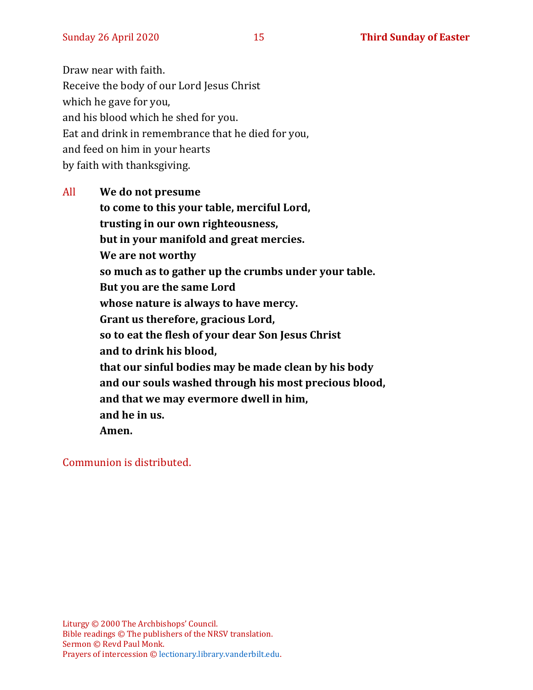Draw near with faith. Receive the body of our Lord Jesus Christ which he gave for you, and his blood which he shed for you. Eat and drink in remembrance that he died for you, and feed on him in your hearts by faith with thanksgiving.

All **We do not presume to come to this your table, merciful Lord, trusting in our own righteousness, but in your manifold and great mercies. We are not worthy so much as to gather up the crumbs under your table. But you are the same Lord whose nature is always to have mercy. Grant us therefore, gracious Lord, so to eat the flesh of your dear Son Jesus Christ and to drink his blood, that our sinful bodies may be made clean by his body and our souls washed through his most precious blood, and that we may evermore dwell in him, and he in us. Amen.**

Communion is distributed.